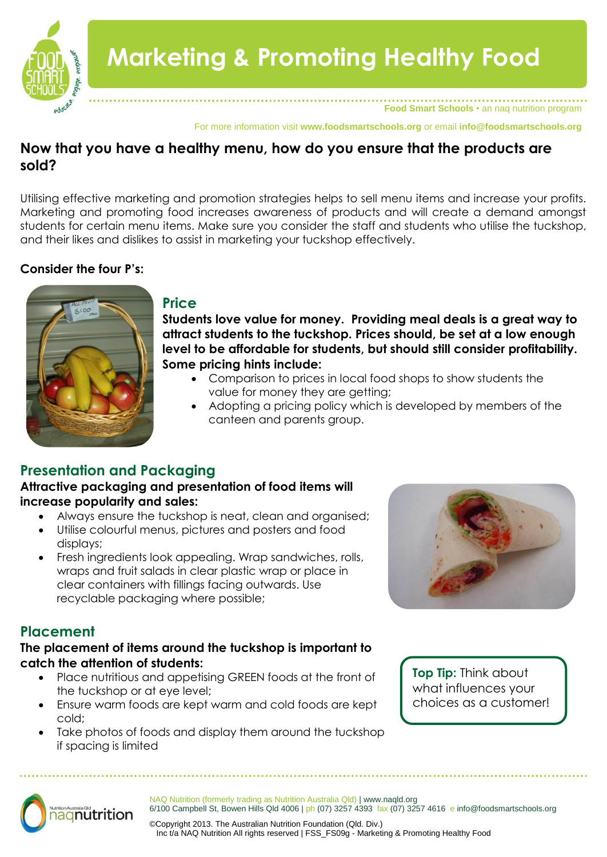

**Food Smart Schools** • an naq nutrition program

For more information visit **www.foodsmartschools.org** or email **info@foodsmartschools.org**

# **Now that you have a healthy menu, how do you ensure that the products are sold?**

Utilising effective marketing and promotion strategies helps to sell menu items and increase your profits. Marketing and promoting food increases awareness of products and will create a demand amongst students for certain menu items. Make sure you consider the staff and students who utilise the tuckshop, and their likes and dislikes to assist in marketing your tuckshop effectively.

### **Consider the four P's:**



#### **Price**

**Students love value for money. Providing meal deals is a great way to attract students to the tuckshop. Prices should, be set at a low enough level to be affordable for students, but should still consider profitability. Some pricing hints include:**

- Comparison to prices in local food shops to show students the value for money they are getting;
- Adopting a pricing policy which is developed by members of the canteen and parents group.

# **Presentation and Packaging**

### **Attractive packaging and presentation of food items will increase popularity and sales:**

- Always ensure the tuckshop is neat, clean and organised;
- Utilise colourful menus, pictures and posters and food displays;
- Fresh ingredients look appealing. Wrap sandwiches, rolls, wraps and fruit salads in clear plastic wrap or place in clear containers with fillings facing outwards. Use recyclable packaging where possible;

# **Placement**

#### **The placement of items around the tuckshop is important to catch the attention of students:**

- Place nutritious and appetising GREEN foods at the front of the tuckshop or at eye level;
- Ensure warm foods are kept warm and cold foods are kept cold;
- Take photos of foods and display them around the tuckshop if spacing is limited



**Top Tip:** Think about what influences your choices as a customer!



NAQ Nutrition (formerly trading as Nutrition Australia Qld) | www.naqld.org 6/100 Campbell St, Bowen Hills Qld 4006 | ph (07) 3257 4393 fax (07) 3257 4616 e info@foodsmartschools.org